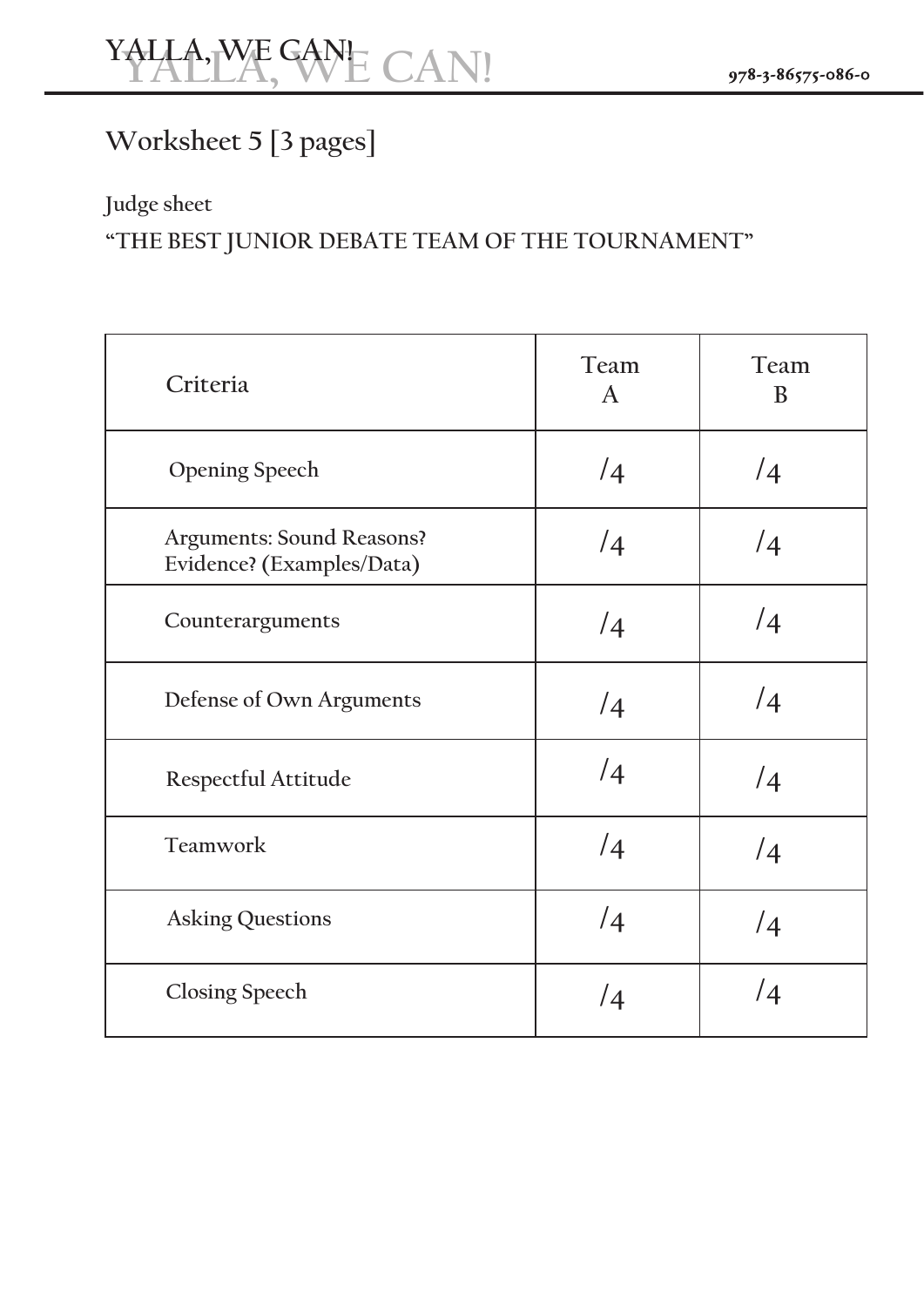## **Worksheet 5 [3 pages]**

## **Judge sheet**

### **"THE BEST JUNIOR DEBATE TEAM OF THE TOURNAMENT"**

| Criteria                                                      | Team<br>$\mathbf{A}$ | Team<br>B  |
|---------------------------------------------------------------|----------------------|------------|
| <b>Opening Speech</b>                                         | $\sqrt{4}$           | /4         |
| <b>Arguments: Sound Reasons?</b><br>Evidence? (Examples/Data) | /4                   | /4         |
| Counterarguments                                              | /4                   | /4         |
| Defense of Own Arguments                                      | $\sqrt{4}$           | $\sqrt{4}$ |
| Respectful Attitude                                           | /4                   | /4         |
| Teamwork                                                      | /4                   | /4         |
| <b>Asking Questions</b>                                       | /4                   | $\sqrt{4}$ |
| <b>Closing Speech</b>                                         | $\sqrt{4}$           | /4         |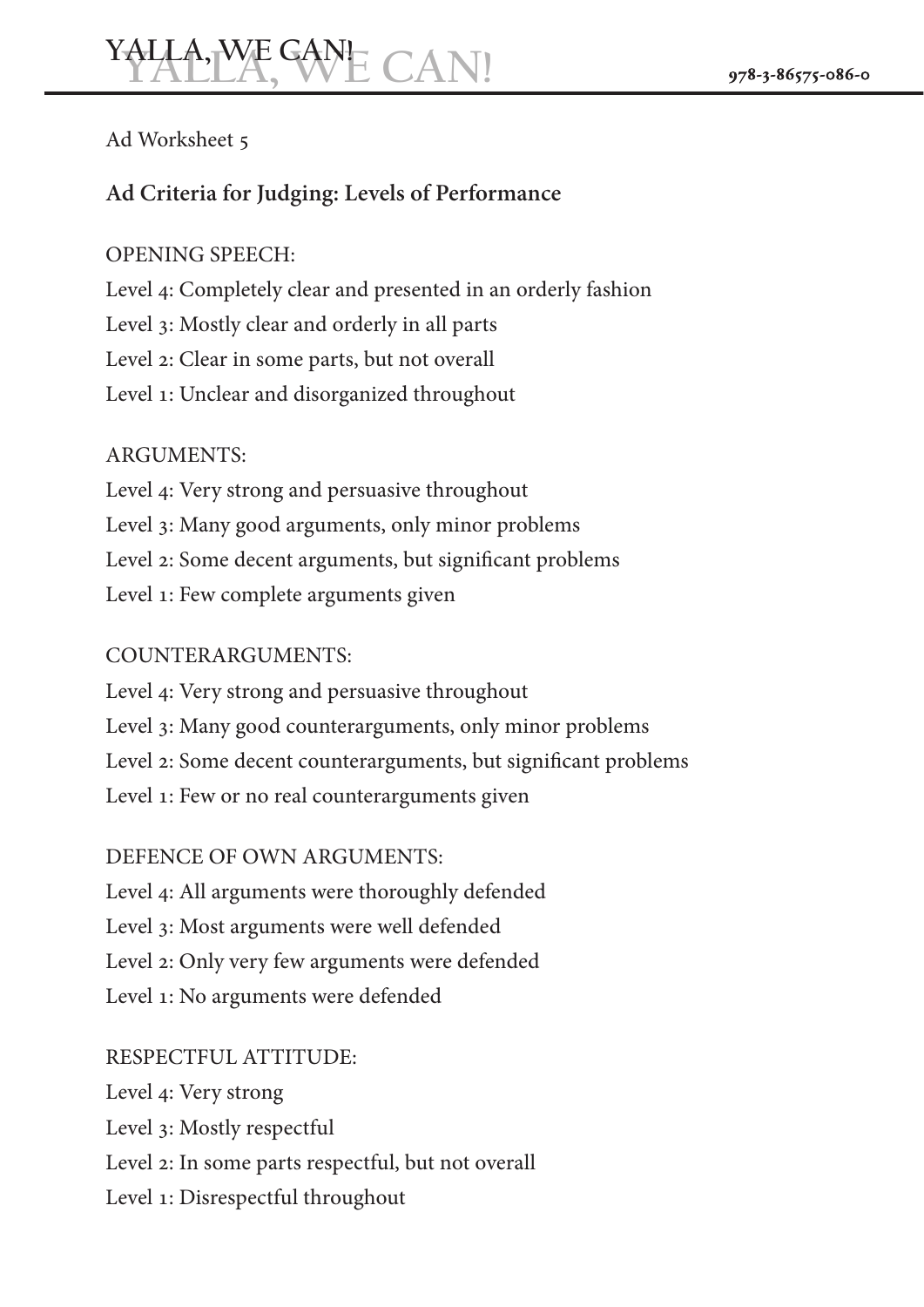#### Ad Worksheet 5

#### **Ad Criteria for Judging: Levels of Performance**

#### OPENING SPEECH:

Level 4: Completely clear and presented in an orderly fashion Level 3: Mostly clear and orderly in all parts Level 2: Clear in some parts, but not overall Level 1: Unclear and disorganized throughout

#### ARGUMENTS:

Level 4: Very strong and persuasive throughout Level 3: Many good arguments, only minor problems Level 2: Some decent arguments, but significant problems Level 1: Few complete arguments given

#### COUNTERARGUMENTS:

Level 4: Very strong and persuasive throughout Level 3: Many good counterarguments, only minor problems Level 2: Some decent counterarguments, but significant problems Level 1: Few or no real counterarguments given

#### DEFENCE OF OWN ARGUMENTS:

Level 4: All arguments were thoroughly defended Level 3: Most arguments were well defended Level 2: Only very few arguments were defended Level 1: No arguments were defended

#### RESPECTFUL ATTITUDE:

Level 4: Very strong Level 3: Mostly respectful Level 2: In some parts respectful, but not overall Level 1: Disrespectful throughout